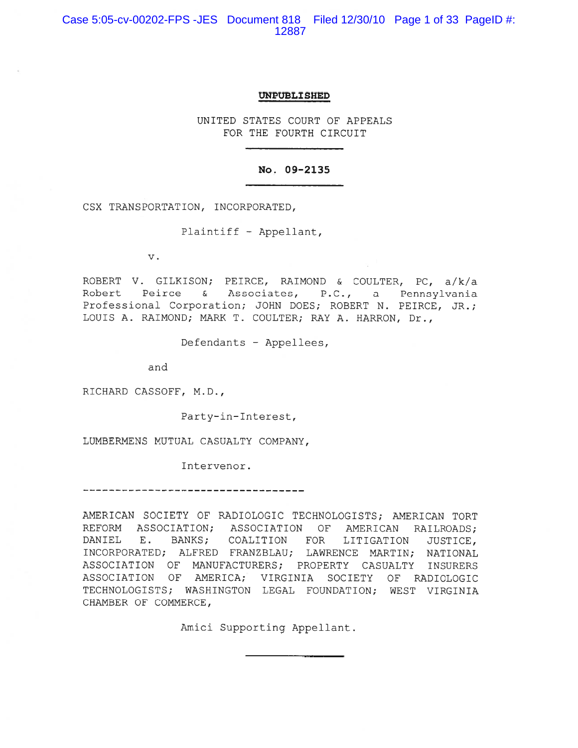Case 5:05-cv-00202-FPS -JES Document 818 Filed 12/30/10 Page 1 of 33 PageID #: 12887

#### UNPUBLISHED

UNITED STATES COURT OF APPEALS FOR THE FOURTH CIRCUIT

#### No. 09-2135

CSX TRANSPORTATION, INCORPORATED,

Plaintiff - Appellant,

 $\mathbf v$  .

ROBERT V. GILKISON; PEIRCE, RAIMOND & COULTER, PC, a/k/a Peirce & Associates, P.C., a Pennsylvania Robert Professional Corporation; JOHN DOES; ROBERT N. PEIRCE, JR.; LOUIS A. RAIMOND; MARK T. COULTER; RAY A. HARRON, Dr.,

Defendants - Appellees,

and

RICHARD CASSOFF, M.D.,

Party-in-Interest,

LUMBERMENS MUTUAL CASUALTY COMPANY,

Intervenor.

AMERICAN SOCIETY OF RADIOLOGIC TECHNOLOGISTS; AMERICAN TORT REFORM ASSOCIATION; ASSOCIATION OF AMERICAN RAILROADS; BANKS; COALITION FOR LITIGATION DANIEL E. JUSTICE, INCORPORATED; ALFRED FRANZBLAU; LAWRENCE MARTIN; NATIONAL ASSOCIATION OF MANUFACTURERS; PROPERTY CASUALTY INSURERS ASSOCIATION OF AMERICA; VIRGINIA SOCIETY OF RADIOLOGIC TECHNOLOGISTS; WASHINGTON LEGAL FOUNDATION; WEST VIRGINIA CHAMBER OF COMMERCE,

Amici Supporting Appellant.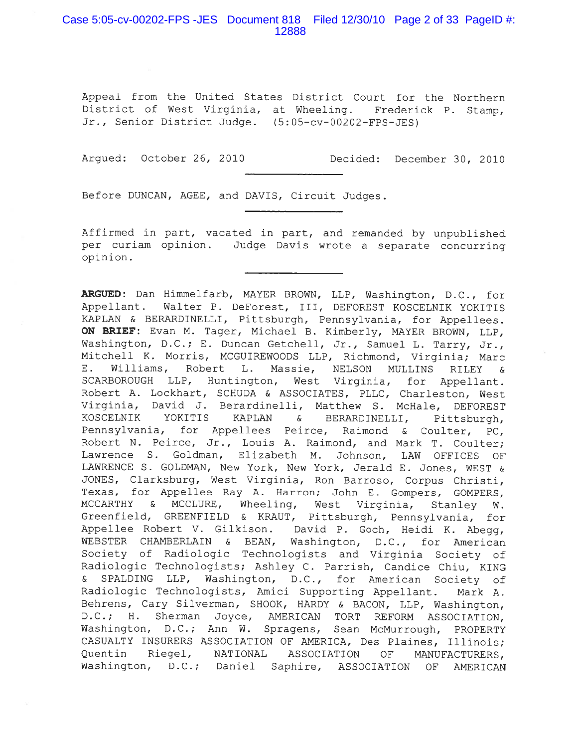# Case 5:05-cv-00202-FPS-JES Document 818 Filed 12/30/10 Page 2 of 33 PageID #: 12888

Appeal from the United States District Court for the Northern District of West Virginia, at Wheeling. Frederick P. Stamp, Jr., Senior District Judge. (5:05-cv-00202-FPS-JES)

Arqued: October 26, 2010

Decided: December 30, 2010

Before DUNCAN, AGEE, and DAVIS, Circuit Judges.

Affirmed in part, vacated in part, and remanded by unpublished per curiam opinion. Judge Davis wrote a separate concurring opinion.

ARGUED: Dan Himmelfarb, MAYER BROWN, LLP, Washington, D.C., for Appellant. Walter P. DeForest, III, DEFOREST KOSCELNIK YOKITIS KAPLAN & BERARDINELLI, Pittsburgh, Pennsylvania, for Appellees. ON BRIEF: Evan M. Tager, Michael B. Kimberly, MAYER BROWN, LLP, Washington, D.C.; E. Duncan Getchell, Jr., Samuel L. Tarry, Jr., Mitchell K. Morris, MCGUIREWOODS LLP, Richmond, Virginia; Marc E. Williams, Robert L. Massie, NELSON MULLINS RILEY ିଧ SCARBOROUGH LLP, Huntington, West Virginia, for Appellant. Robert A. Lockhart, SCHUDA & ASSOCIATES, PLLC, Charleston, West Virginia, David J. Berardinelli, Matthew S. McHale, DEFOREST KOSCELNIK YOKITIS KAPLAN BERARDINELLI,  $\delta$ Pittsburgh, Pennsylvania, for Appellees Peirce, Raimond & Coulter, PC, Robert N. Peirce, Jr., Louis A. Raimond, and Mark T. Coulter; Lawrence S. Goldman, Elizabeth M. Johnson, LAW OFFICES OF LAWRENCE S. GOLDMAN, New York, New York, Jerald E. Jones, WEST & JONES, Clarksburg, West Virginia, Ron Barroso, Corpus Christi, Texas, for Appellee Ray A. Harron; John E. Gompers, GOMPERS, MCCARTHY & MCCLURE, Wheeling, West Virginia, Stanley W. Greenfield, GREENFIELD & KRAUT, Pittsburgh, Pennsylvania, for Appellee Robert V. Gilkison. David P. Goch, Heidi K. Abegg, WEBSTER CHAMBERLAIN & BEAN, Washington, D.C., for American Society of Radiologic Technologists and Virginia Society of Radiologic Technologists; Ashley C. Parrish, Candice Chiu, KING & SPALDING LLP, Washington, D.C., for American Society of Radiologic Technologists, Amici Supporting Appellant. Mark A. Behrens, Cary Silverman, SHOOK, HARDY & BACON, LLP, Washington, D.C.; H. Sherman Joyce, AMERICAN TORT REFORM ASSOCIATION, Washington, D.C.; Ann W. Spragens, Sean McMurrough, PROPERTY CASUALTY INSURERS ASSOCIATION OF AMERICA, Des Plaines, Illinois; Quentin Riegel, NATIONAL ASSOCIATION OF MANUFACTURERS, Washington, D.C.; Daniel Saphire, ASSOCIATION OF AMERICAN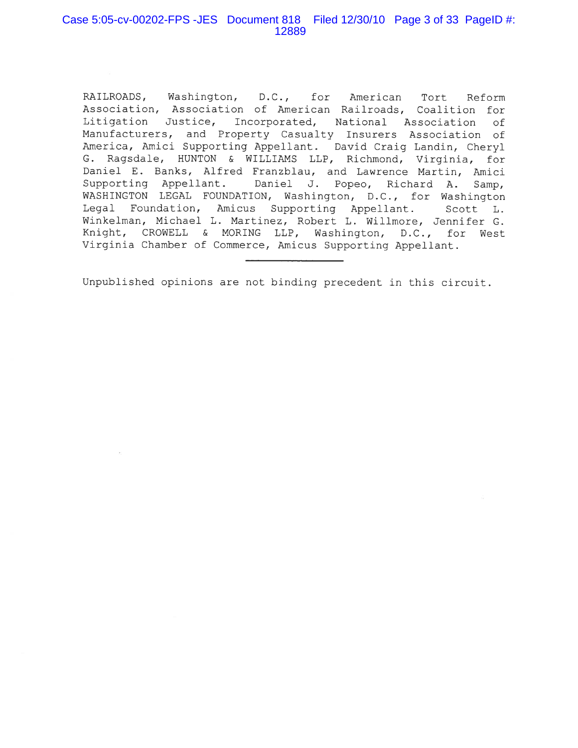# Case 5:05-cv-00202-FPS -JES Document 818 Filed 12/30/10 Page 3 of 33 PageID #: 12889

RAILROADS, Washington, D.C., for American Tort Reform Association, Association of American Railroads, Coalition for Litigation Justice, Incorporated, National Association 0f Manufacturers, and Property Casualty Insurers Association of America, Amici Supporting Appellant. David Craig Landin, Cheryl G. Ragsdale, HUNTON & WILLIAMS LLP, Richmond, Virginia, for Daniel E. Banks, Alfred Franzblau, and Lawrence Martin, Amici Supporting Appellant. Daniel J. Popeo, Richard A. Samp, WASHINGTON LEGAL FOUNDATION, Washington, D.C., for Washington Legal Foundation, Amicus Supporting Appellant. Scott L. Winkelman, Michael L. Martinez, Robert L. Willmore, Jennifer G. Knight, CROWELL & MORING LLP, Washington, D.C., for West Virginia Chamber of Commerce, Amicus Supporting Appellant.

Unpublished opinions are not binding precedent in this circuit.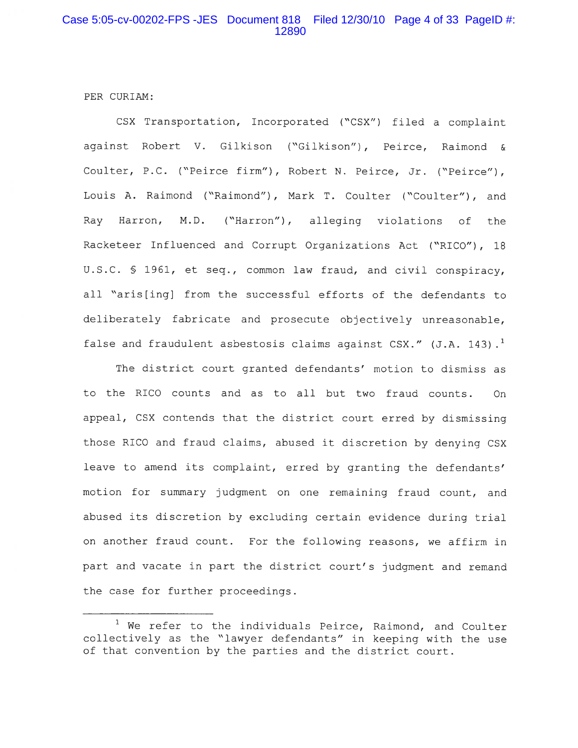PER CURIAM:

CSX Transportation, Incorporated ("CSX") filed a complaint against Robert V. Gilkison ("Gilkison"), Peirce, Raimond & Coulter, P.C. ("Peirce firm"), Robert N. Peirce, Jr. ("Peirce"), Louis A. Raimond ("Raimond"), Mark T. Coulter ("Coulter"), and Ray Harron, M.D. ("Harron"), alleging violations of the Racketeer Influenced and Corrupt Organizations Act ("RICO"), 18 U.S.C. § 1961, et seq., common law fraud, and civil conspiracy, all "aris[ing] from the successful efforts of the defendants to deliberately fabricate and prosecute objectively unreasonable, false and fraudulent asbestosis claims against CSX." (J.A. 143).<sup>1</sup>

The district court granted defendants' motion to dismiss as to the RICO counts and as to all but two fraud counts. **On** appeal, CSX contends that the district court erred by dismissing those RICO and fraud claims, abused it discretion by denying CSX leave to amend its complaint, erred by granting the defendants' motion for summary judgment on one remaining fraud count, and abused its discretion by excluding certain evidence during trial on another fraud count. For the following reasons, we affirm in part and vacate in part the district court's judgment and remand the case for further proceedings.

<sup>&</sup>lt;sup>1</sup> We refer to the individuals Peirce, Raimond, and Coulter collectively as the "lawyer defendants" in keeping with the use of that convention by the parties and the district court.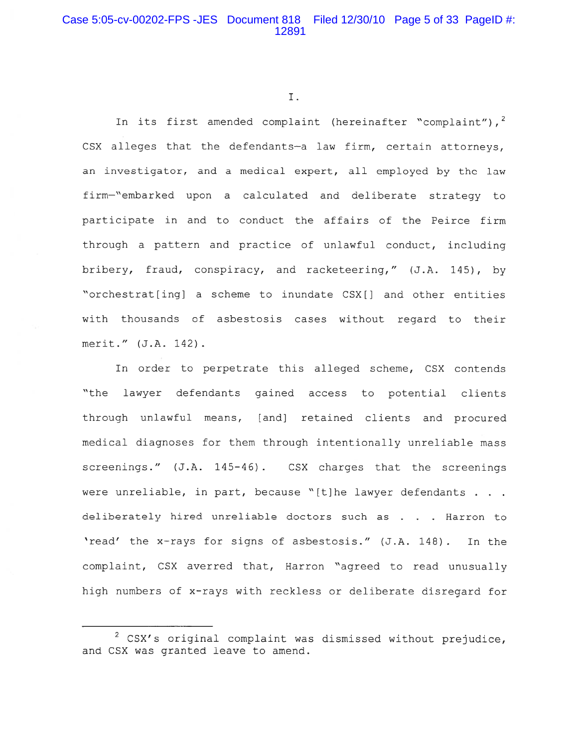I.

In its first amended complaint (hereinafter "complaint"),  $2^2$ CSX alleges that the defendants-a law firm, certain attorneys, an investigator, and a medical expert, all employed by the law firm-"embarked upon a calculated and deliberate strategy to participate in and to conduct the affairs of the Peirce firm through a pattern and practice of unlawful conduct, including bribery, fraud, conspiracy, and racketeering," (J.A. 145), by "orchestrat[ing] a scheme to inundate CSX[] and other entities with thousands of asbestosis cases without regard to their merit." (J.A. 142).

In order to perpetrate this alleged scheme, CSX contends "the lawyer defendants gained access to potential clients through unlawful means, [and] retained clients and procured medical diagnoses for them through intentionally unreliable mass screenings." (J.A. 145-46). CSX charges that the screenings were unreliable, in part, because "[t]he lawyer defendants . . . deliberately hired unreliable doctors such as . . . Harron to 'read' the x-rays for signs of asbestosis." (J.A. 148). In the complaint, CSX averred that, Harron "agreed to read unusually high numbers of x-rays with reckless or deliberate disregard for

 $2$  CSX's original complaint was dismissed without prejudice, and CSX was granted leave to amend.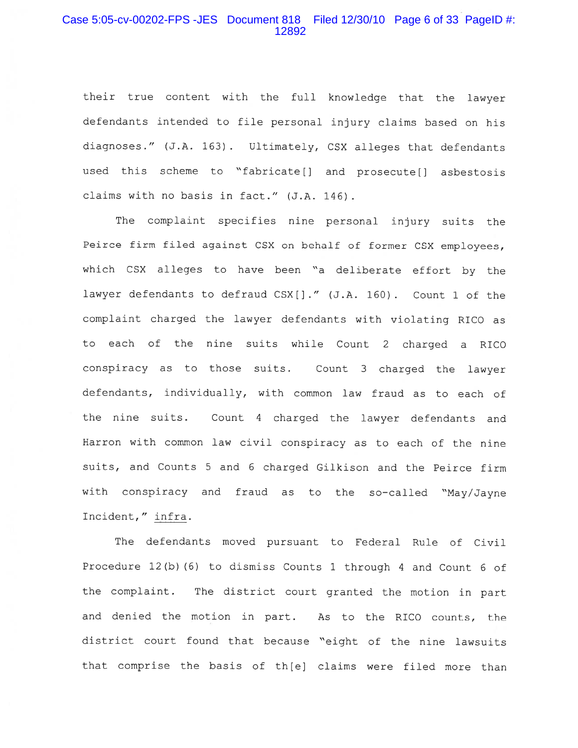## Case 5:05-cv-00202-FPS -JES Document 818 Filed 12/30/10 Page 6 of 33 PageID #: 12892

their true content with the full knowledge that the lawyer defendants intended to file personal injury claims based on his diagnoses." (J.A. 163). Ultimately, CSX alleges that defendants used this scheme to "fabricate[] and prosecute[] asbestosis claims with no basis in fact." (J.A. 146).

The complaint specifies nine personal injury suits the Peirce firm filed against CSX on behalf of former CSX employees, which CSX alleges to have been "a deliberate effort by the lawyer defendants to defraud CSX[]." (J.A. 160). Count 1 of the complaint charged the lawyer defendants with violating RICO as to each of the nine suits while Count 2 charged a RICO conspiracy as to those suits. Count 3 charged the lawyer defendants, individually, with common law fraud as to each of the nine suits. Count 4 charged the lawyer defendants and Harron with common law civil conspiracy as to each of the nine suits, and Counts 5 and 6 charged Gilkison and the Peirce firm with conspiracy and fraud as to the so-called "May/Jayne Incident," infra.

The defendants moved pursuant to Federal Rule of Civil Procedure  $12(b)$  (6) to dismiss Counts 1 through 4 and Count 6 of the complaint. The district court granted the motion in part and denied the motion in part. As to the RICO counts, the district court found that because "eight of the nine lawsuits that comprise the basis of th[e] claims were filed more than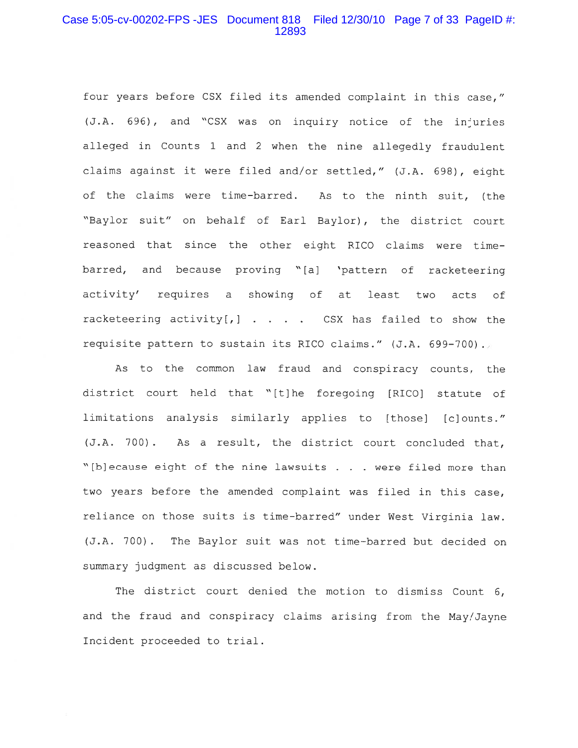## Case 5:05-cv-00202-FPS -JES Document 818 Filed 12/30/10 Page 7 of 33 PageID #: 12893

four years before CSX filed its amended complaint in this case," (J.A. 696), and "CSX was on inquiry notice of the injuries alleged in Counts 1 and 2 when the nine allegedly fraudulent claims against it were filed and/or settled," (J.A. 698), eight of the claims were time-barred. As to the ninth suit, (the "Baylor suit" on behalf of Earl Baylor), the district court reasoned that since the other eight RICO claims were timebarred, and because proving "[a] 'pattern of racketeering activity' requires a showing of at least two acts of racketeering activity[,] . . . . CSX has failed to show the requisite pattern to sustain its RICO claims." (J.A. 699-700).

As to the common law fraud and conspiracy counts, the district court held that "[t]he foregoing [RICO] statute of limitations analysis similarly applies to [those] [c]ounts." (J.A. 700). As a result, the district court concluded that, "[b]ecause eight of the nine lawsuits . . . were filed more than two years before the amended complaint was filed in this case, reliance on those suits is time-barred" under West Virginia law. (J.A. 700). The Baylor suit was not time-barred but decided on summary judgment as discussed below.

The district court denied the motion to dismiss Count 6, and the fraud and conspiracy claims arising from the May/Jayne Incident proceeded to trial.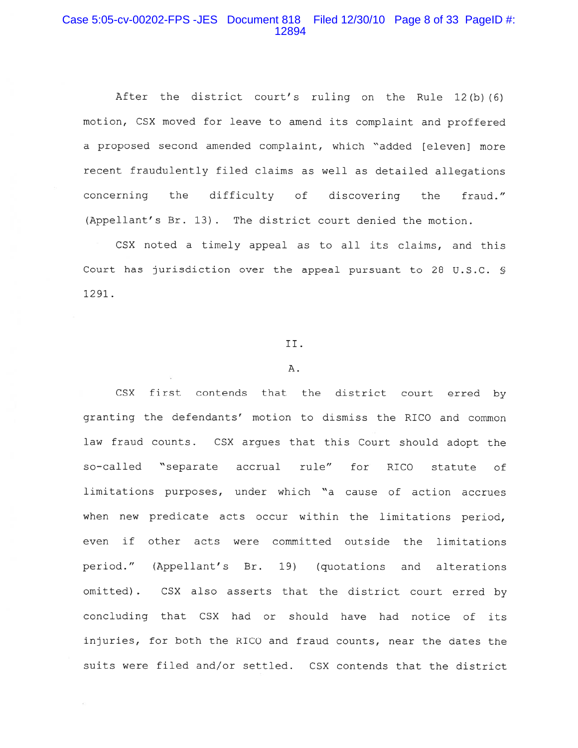## Case 5:05-cv-00202-FPS -JES Document 818 Filed 12/30/10 Page 8 of 33 PageID #: 12894

After the district court's ruling on the Rule 12(b)(6) motion, CSX moved for leave to amend its complaint and proffered a proposed second amended complaint, which "added [eleven] more recent fraudulently filed claims as well as detailed allegations concerning the difficulty of discovering the fraud." (Appellant's Br. 13). The district court denied the motion.

CSX noted a timely appeal as to all its claims, and this Court has jurisdiction over the appeal pursuant to 28 U.S.C. \$ 1291.

#### II.

#### $A.$

CSX first contends that the district court erred by granting the defendants' motion to dismiss the RICO and common law fraud counts. CSX arques that this Court should adopt the so-called "separate accrual rule" for RICO statute of limitations purposes, under which "a cause of action accrues when new predicate acts occur within the limitations period, even if other acts were committed outside the limitations period." (Appellant's Br. 19) (quotations and alterations omitted). CSX also asserts that the district court erred by concluding that CSX had or should have had notice of its injuries, for both the RICO and fraud counts, near the dates the suits were filed and/or settled. CSX contends that the district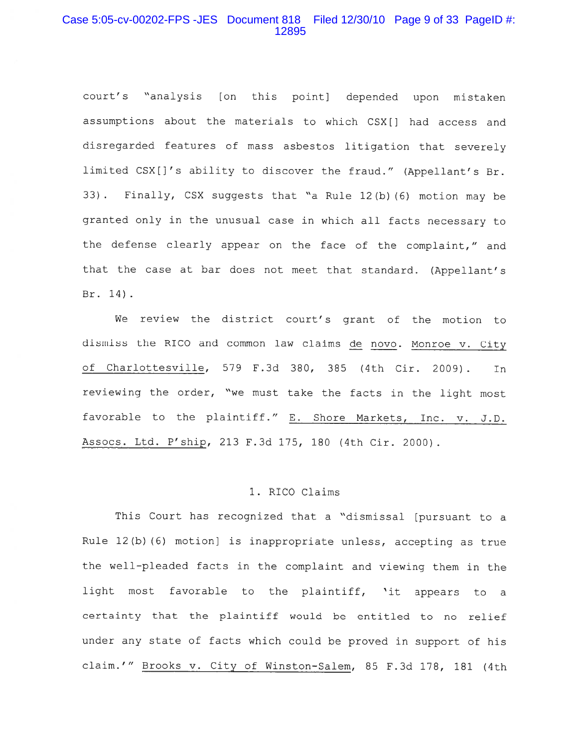## Case 5:05-cv-00202-FPS -JES Document 818 Filed 12/30/10 Page 9 of 33 PageID #: 12895

court's "analysis [on this point] depended upon mistaken assumptions about the materials to which CSX[] had access and disregarded features of mass asbestos litigation that severely limited CSX[]'s ability to discover the fraud." (Appellant's Br. 33). Finally, CSX suggests that "a Rule 12(b) (6) motion may be granted only in the unusual case in which all facts necessary to the defense clearly appear on the face of the complaint," and that the case at bar does not meet that standard. (Appellant's Br. 14).

We review the district court's grant of the motion to dismiss the RICO and common law claims de novo. Monroe v. City of Charlottesville, 579 F.3d 380, 385 (4th Cir. 2009). In reviewing the order, "we must take the facts in the light most favorable to the plaintiff." E. Shore Markets, Inc. v. J.D. Assocs. Ltd. P'ship, 213 F.3d 175, 180 (4th Cir. 2000).

#### 1. RICO Claims

This Court has recognized that a "dismissal [pursuant to a Rule 12(b) (6) motion] is inappropriate unless, accepting as true the well-pleaded facts in the complaint and viewing them in the light most favorable to the plaintiff, 'it appears to a certainty that the plaintiff would be entitled to no relief under any state of facts which could be proved in support of his claim.'" Brooks v. City of Winston-Salem, 85 F.3d 178, 181 (4th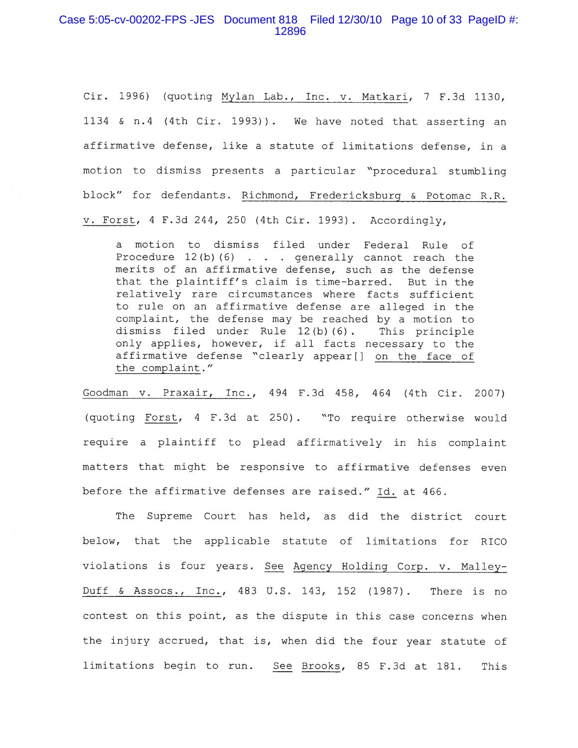### Case 5:05-cv-00202-FPS -JES Document 818 Filed 12/30/10 Page 10 of 33 PageID #: 12896

Cir. 1996) (quoting Mylan Lab., Inc. v. Matkari, 7 F.3d 1130, 1134 & n.4 (4th Cir. 1993)). We have noted that asserting an affirmative defense, like a statute of limitations defense, in a motion to dismiss presents a particular "procedural stumbling block" for defendants. Richmond, Fredericksburg & Potomac R.R. v. Forst,  $4$  F.3d 244, 250 (4th Cir. 1993). Accordingly,

a motion to dismiss filed under Federal Rule of Procedure  $12(b)$  (6) . . . generally cannot reach the merits of an affirmative defense, such as the defense that the plaintiff's claim is time-barred. But in the relatively rare circumstances where facts sufficient to rule on an affirmative defense are alleged in the complaint, the defense may be reached by a motion to dismiss filed under Rule 12(b)(6). This principle only applies, however, if all facts necessary to the affirmative defense "clearly appear[] on the face of the complaint."

Goodman v. Praxair, Inc., 494 F.3d 458, 464 (4th Cir. 2007) (quoting Forst, 4 F.3d at 250). "To require otherwise would require a plaintiff to plead affirmatively in his complaint matters that might be responsive to affirmative defenses even before the affirmative defenses are raised." Id. at 466.

The Supreme Court has held, as did the district court below, that the applicable statute of limitations for RICO violations is four years. See Agency Holding Corp. v. Malley-Duff & Assocs., Inc., 483 U.S. 143, 152 (1987). There is no contest on this point, as the dispute in this case concerns when the injury accrued, that is, when did the four year statute of limitations begin to run. See Brooks, 85 F.3d at 181. This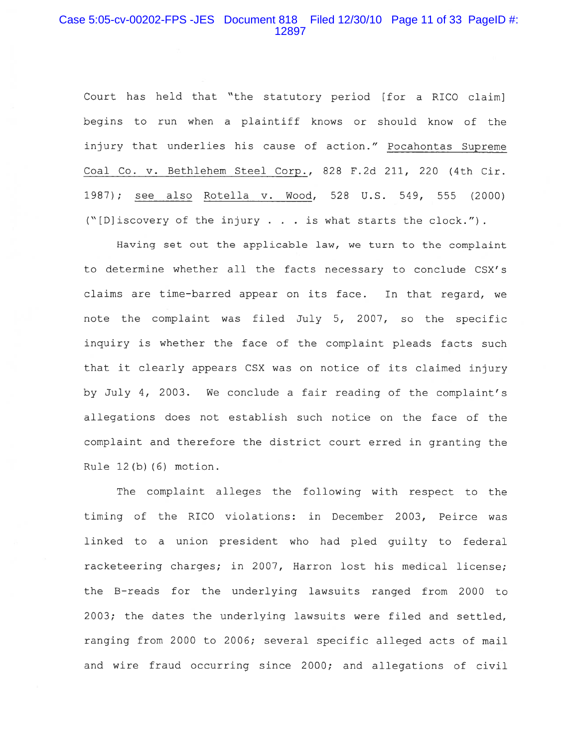#### Case 5:05-cv-00202-FPS -JES Document 818 Filed 12/30/10 Page 11 of 33 PageID #: 12897

Court has held that "the statutory period [for a RICO claim] begins to run when a plaintiff knows or should know of the injury that underlies his cause of action." Pocahontas Supreme Coal Co. v. Bethlehem Steel Corp., 828 F.2d 211, 220 (4th Cir. 1987); see also Rotella v. Wood, 528 U.S. 549, 555 (2000) ("[D] iscovery of the injury . . . is what starts the clock.").

Having set out the applicable law, we turn to the complaint to determine whether all the facts necessary to conclude CSX's claims are time-barred appear on its face. In that regard, we note the complaint was filed July 5, 2007, so the specific inquiry is whether the face of the complaint pleads facts such that it clearly appears CSX was on notice of its claimed injury by July 4, 2003. We conclude a fair reading of the complaint's allegations does not establish such notice on the face of the complaint and therefore the district court erred in granting the Rule 12(b)(6) motion.

The complaint alleges the following with respect to the timing of the RICO violations: in December 2003, Peirce was linked to a union president who had pled quilty to federal racketeering charges; in 2007, Harron lost his medical license; the B-reads for the underlying lawsuits ranged from 2000 to 2003; the dates the underlying lawsuits were filed and settled, ranging from 2000 to 2006; several specific alleged acts of mail and wire fraud occurring since 2000; and allegations of civil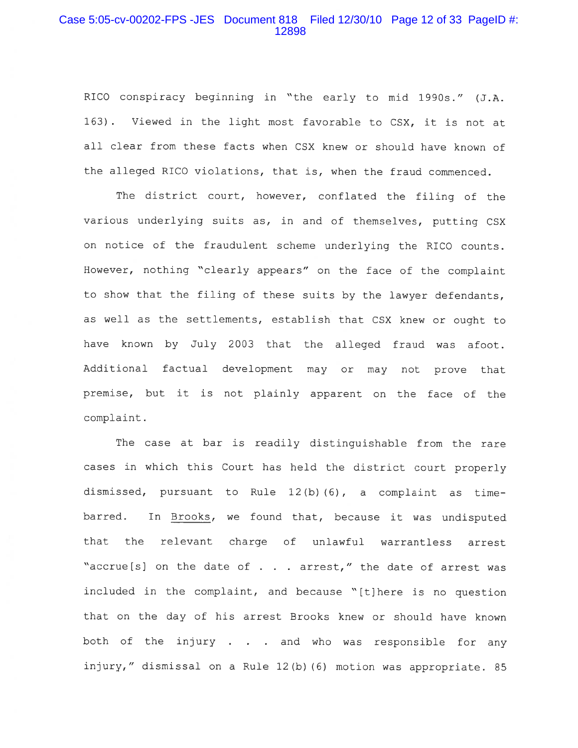#### Case 5:05-cv-00202-FPS -JES Document 818 Filed 12/30/10 Page 12 of 33 PageID #: 12898

RICO conspiracy beginning in "the early to mid 1990s." (J.A. 163). Viewed in the light most favorable to CSX, it is not at all clear from these facts when CSX knew or should have known of the alleged RICO violations, that is, when the fraud commenced.

The district court, however, conflated the filing of the various underlying suits as, in and of themselves, putting CSX on notice of the fraudulent scheme underlying the RICO counts. However, nothing "clearly appears" on the face of the complaint to show that the filing of these suits by the lawyer defendants, as well as the settlements, establish that CSX knew or ought to have known by July 2003 that the alleged fraud was afoot. Additional factual development may or may not prove that premise, but it is not plainly apparent on the face of the complaint.

The case at bar is readily distinguishable from the rare cases in which this Court has held the district court properly dismissed, pursuant to Rule 12(b)(6), a complaint as timebarred. In Brooks, we found that, because it was undisputed that the relevant charge of unlawful warrantless arrest "accrue[s] on the date of . . . arrest," the date of arrest was included in the complaint, and because "[t]here is no question that on the day of his arrest Brooks knew or should have known both of the injury . . . and who was responsible for any injury," dismissal on a Rule 12(b)(6) motion was appropriate. 85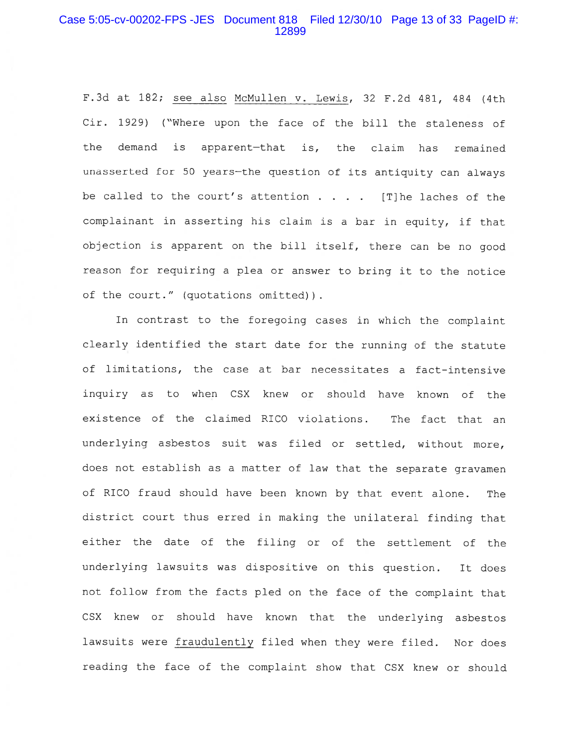### Case 5:05-cv-00202-FPS -JES Document 818 Filed 12/30/10 Page 13 of 33 PageID #: 12899

F.3d at 182; see also McMullen v. Lewis, 32 F.2d 481, 484 (4th Cir. 1929) ("Where upon the face of the bill the staleness of the demand is apparent-that is, the claim has remained unasserted for 50 years-the question of its antiquity can always be called to the court's attention  $\ldots$  . [T] he laches of the complainant in asserting his claim is a bar in equity, if that objection is apparent on the bill itself, there can be no good reason for requiring a plea or answer to bring it to the notice of the court." (quotations omitted)).

In contrast to the foregoing cases in which the complaint clearly identified the start date for the running of the statute of limitations, the case at bar necessitates a fact-intensive inquiry as to when CSX knew or should have known of the existence of the claimed RICO violations. The fact that an underlying asbestos suit was filed or settled, without more, does not establish as a matter of law that the separate gravamen of RICO fraud should have been known by that event alone. The district court thus erred in making the unilateral finding that either the date of the filing or of the settlement of the underlying lawsuits was dispositive on this question. It does not follow from the facts pled on the face of the complaint that CSX knew or should have known that the underlying asbestos lawsuits were fraudulently filed when they were filed. Nor does reading the face of the complaint show that CSX knew or should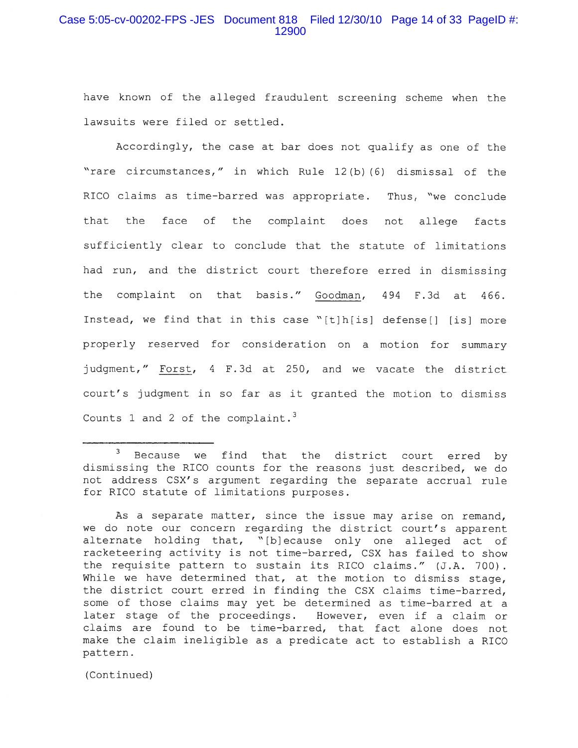# Case 5:05-cv-00202-FPS -JES Document 818 Filed 12/30/10 Page 14 of 33 PageID #: 12900

have known of the alleged fraudulent screening scheme when the lawsuits were filed or settled.

Accordingly, the case at bar does not qualify as one of the "rare circumstances," in which Rule 12(b)(6) dismissal of the RICO claims as time-barred was appropriate. Thus, "we conclude that the face of the complaint does not allege facts sufficiently clear to conclude that the statute of limitations had run, and the district court therefore erred in dismissing the complaint on that basis." Goodman, 494 F.3d at 466. Instead, we find that in this case "[t]h[is] defense[] [is] more properly reserved for consideration on a motion for summary judgment," Forst, 4 F.3d at 250, and we vacate the district court's judgment in so far as it granted the motion to dismiss Counts 1 and 2 of the complaint.<sup>3</sup>

(Continued)

 $\mathbf{3}$ Because we find that the district court erred by dismissing the RICO counts for the reasons just described, we do not address CSX's argument regarding the separate accrual rule for RICO statute of limitations purposes.

As a separate matter, since the issue may arise on remand, we do note our concern regarding the district court's apparent alternate holding that, "[b]ecause only one alleged act of racketeering activity is not time-barred, CSX has failed to show the requisite pattern to sustain its RICO claims." (J.A. 700). While we have determined that, at the motion to dismiss stage, the district court erred in finding the CSX claims time-barred, some of those claims may yet be determined as time-barred at a later stage of the proceedings. However, even if a claim or claims are found to be time-barred, that fact alone does not make the claim ineligible as a predicate act to establish a RICO pattern.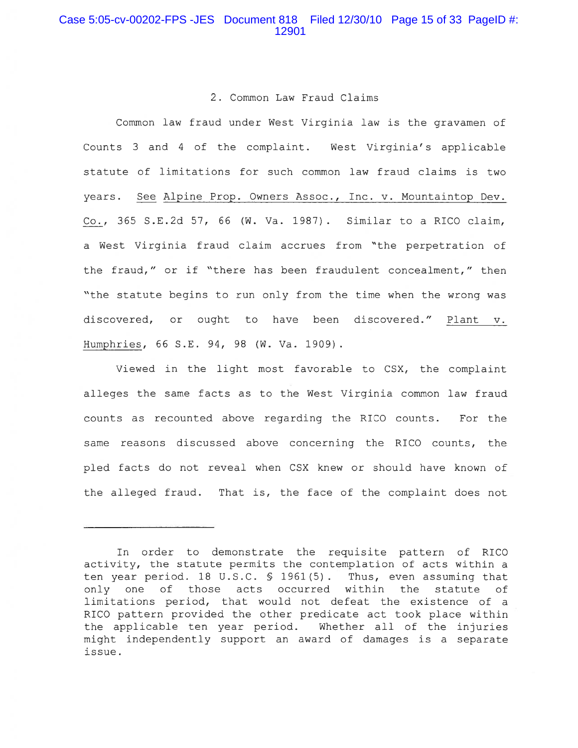#### 2. Common Law Fraud Claims

Common law fraud under West Virginia law is the gravamen of Counts 3 and 4 of the complaint. West Virginia's applicable statute of limitations for such common law fraud claims is two years. See Alpine Prop. Owners Assoc., Inc. v. Mountaintop Dev. Co., 365 S.E.2d 57, 66 (W. Va. 1987). Similar to a RICO claim, a West Virginia fraud claim accrues from "the perpetration of the fraud," or if "there has been fraudulent concealment," then "the statute begins to run only from the time when the wrong was discovered, or ought to have been discovered." Plant v. Humphries, 66 S.E. 94, 98 (W. Va. 1909).

Viewed in the light most favorable to CSX, the complaint alleges the same facts as to the West Virginia common law fraud counts as recounted above regarding the RICO counts. For the same reasons discussed above concerning the RICO counts, the pled facts do not reveal when CSX knew or should have known of the alleged fraud. That is, the face of the complaint does not

In order to demonstrate the requisite pattern of RICO activity, the statute permits the contemplation of acts within a ten year period. 18 U.S.C. § 1961(5). Thus, even assuming that only one of those acts occurred within the statute of limitations period, that would not defeat the existence of a RICO pattern provided the other predicate act took place within the applicable ten year period. Whether all of the injuries might independently support an award of damages is a separate issue.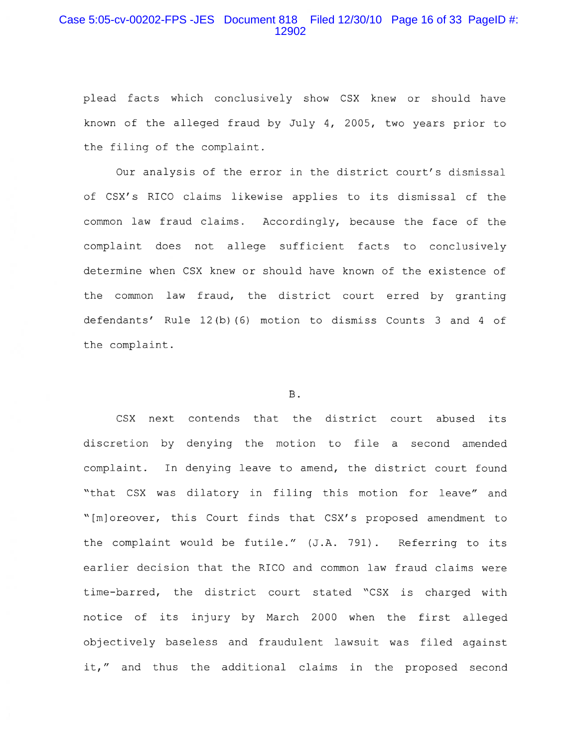## Case 5:05-cv-00202-FPS -JES Document 818 Filed 12/30/10 Page 16 of 33 PageID #: 12902

plead facts which conclusively show CSX knew or should have known of the alleged fraud by July 4, 2005, two years prior to the filing of the complaint.

Our analysis of the error in the district court's dismissal of CSX's RICO claims likewise applies to its dismissal of the common law fraud claims. Accordingly, because the face of the complaint does not allege sufficient facts to conclusively determine when CSX knew or should have known of the existence of the common law fraud, the district court erred by granting defendants' Rule 12(b)(6) motion to dismiss Counts 3 and 4 of the complaint.

#### **B**.

CSX next contends that the district court abused its discretion by denying the motion to file a second amended complaint. In denying leave to amend, the district court found "that CSX was dilatory in filing this motion for leave" and "[m]oreover, this Court finds that CSX's proposed amendment to the complaint would be futile." (J.A. 791). Referring to its earlier decision that the RICO and common law fraud claims were time-barred, the district court stated "CSX is charged with notice of its injury by March 2000 when the first alleged objectively baseless and fraudulent lawsuit was filed against it," and thus the additional claims in the proposed second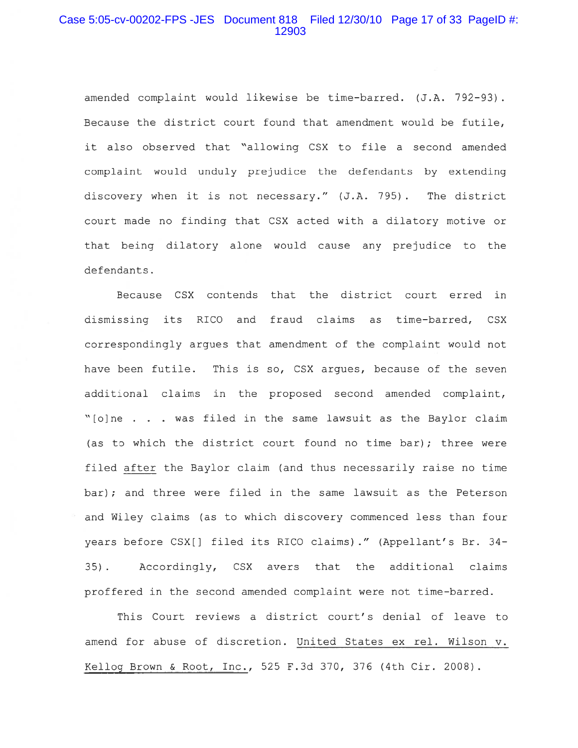## Case 5:05-cv-00202-FPS -JES Document 818 Filed 12/30/10 Page 17 of 33 PageID #: 12903

amended complaint would likewise be time-barred. (J.A. 792-93). Because the district court found that amendment would be futile, it also observed that "allowing CSX to file a second amended complaint would unduly prejudice the defendants by extending discovery when it is not necessary." (J.A. 795). The district court made no finding that CSX acted with a dilatory motive or that being dilatory alone would cause any prejudice to the defendants.

Because CSX contends that the district court erred in dismissing its RICO and fraud claims as time-barred, CSX correspondingly argues that amendment of the complaint would not have been futile. This is so, CSX argues, because of the seven additional claims in the proposed second amended complaint, "[o]ne . . . was filed in the same lawsuit as the Baylor claim (as to which the district court found no time bar); three were filed after the Baylor claim (and thus necessarily raise no time bar); and three were filed in the same lawsuit as the Peterson and Wiley claims (as to which discovery commenced less than four years before CSX[] filed its RICO claims)." (Appellant's Br. 34-Accordingly, CSX avers that the additional claims  $35$ ). proffered in the second amended complaint were not time-barred.

This Court reviews a district court's denial of leave to amend for abuse of discretion. United States ex rel. Wilson v. Kellog Brown & Root, Inc., 525 F.3d 370, 376 (4th Cir. 2008).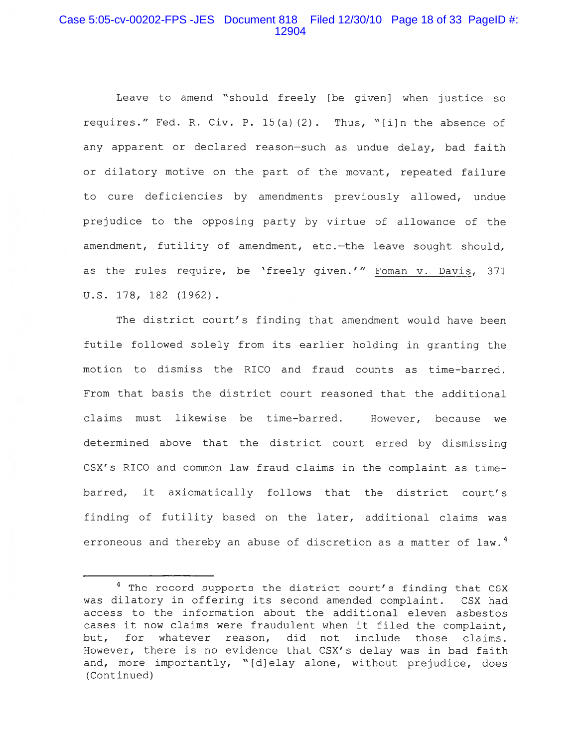# Case 5:05-cv-00202-FPS -JES Document 818 Filed 12/30/10 Page 18 of 33 PageID #: 12904

Leave to amend "should freely [be given] when justice so requires." Fed. R. Civ. P. 15(a)(2). Thus, "[i]n the absence of any apparent or declared reason-such as undue delay, bad faith or dilatory motive on the part of the movant, repeated failure to cure deficiencies by amendments previously allowed, undue prejudice to the opposing party by virtue of allowance of the amendment, futility of amendment, etc.-the leave sought should, as the rules require, be 'freely given.'" Foman v. Davis, 371 U.S. 178, 182 (1962).

The district court's finding that amendment would have been futile followed solely from its earlier holding in granting the motion to dismiss the RICO and fraud counts as time-barred. From that basis the district court reasoned that the additional claims must likewise be time-barred. However, because we determined above that the district court erred by dismissing CSX's RICO and common law fraud claims in the complaint as timebarred, it axiomatically follows that the district court's finding of futility based on the later, additional claims was erroneous and thereby an abuse of discretion as a matter of law.<sup>4</sup>

<sup>&</sup>lt;sup>4</sup> The record supports the district court's finding that CSX was dilatory in offering its second amended complaint. CSX had access to the information about the additional eleven asbestos cases it now claims were fraudulent when it filed the complaint, for whatever reason, did not include those claims. but, However, there is no evidence that CSX's delay was in bad faith and, more importantly, "[d]elay alone, without prejudice, does (Continued)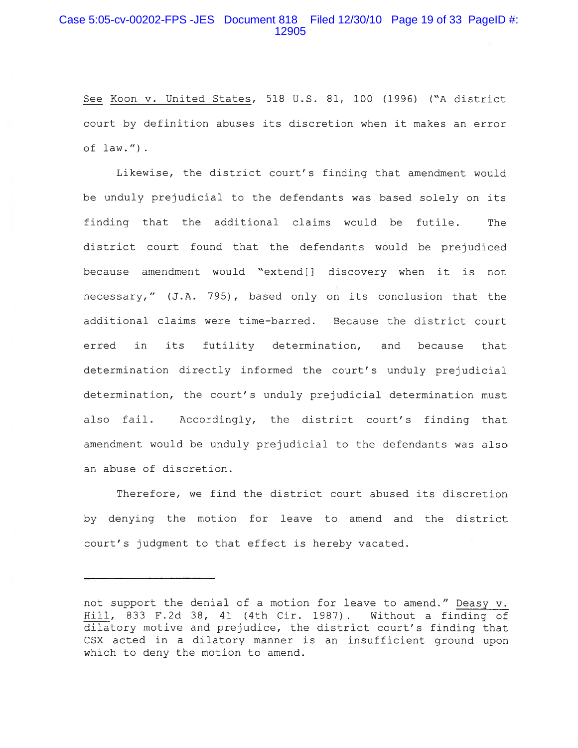## Case 5:05-cv-00202-FPS -JES Document 818 Filed 12/30/10 Page 19 of 33 PageID #: 12905

See Koon v. United States, 518 U.S. 81, 100 (1996) ("A district court by definition abuses its discretion when it makes an error of  $law.''.$ 

Likewise, the district court's finding that amendment would be unduly prejudicial to the defendants was based solely on its finding that the additional claims would be futile. The district court found that the defendants would be prejudiced because amendment would "extend[] discovery when it is not necessary," (J.A. 795), based only on its conclusion that the additional claims were time-barred. Because the district court in its futility determination, and erred because that determination directly informed the court's unduly prejudicial determination, the court's unduly prejudicial determination must also fail. Accordingly, the district court's finding that amendment would be unduly prejudicial to the defendants was also an abuse of discretion.

Therefore, we find the district court abused its discretion by denying the motion for leave to amend and the district court's judgment to that effect is hereby vacated.

not support the denial of a motion for leave to amend." Deasy v. Hill, 833 F.2d 38, 41 (4th Cir. 1987). Without a finding of dilatory motive and prejudice, the district court's finding that CSX acted in a dilatory manner is an insufficient ground upon which to deny the motion to amend.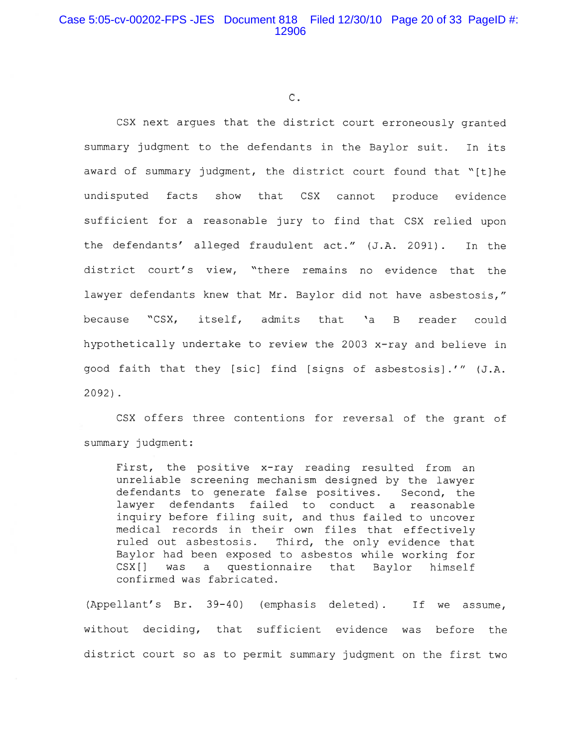# Case 5:05-cv-00202-FPS -JES Document 818 Filed 12/30/10 Page 20 of 33 PageID #: 12906

 $\overline{C}$ .

CSX next arques that the district court erroneously granted summary judgment to the defendants in the Baylor suit. In its award of summary judgment, the district court found that "[t]he show that CSX cannot produce evidence undisputed facts sufficient for a reasonable jury to find that CSX relied upon the defendants' alleged fraudulent act." (J.A. 2091). In the district court's view, "there remains no evidence that the lawyer defendants knew that Mr. Baylor did not have asbestosis," "CSX. itself, admits that 'a B because reader could hypothetically undertake to review the 2003 x-ray and believe in good faith that they [sic] find [signs of asbestosis].'" (J.A.  $2092$ ).

CSX offers three contentions for reversal of the grant of summary judgment:

First, the positive x-ray reading resulted from an unreliable screening mechanism designed by the lawyer defendants to generate false positives. Second, the lawyer defendants failed to conduct a reasonable inquiry before filing suit, and thus failed to uncover medical records in their own files that effectively ruled out asbestosis. Third, the only evidence that Baylor had been exposed to asbestos while working for  $CSX[]$ was a questionnaire that Baylor himself confirmed was fabricated.

(Appellant's Br. 39-40) (emphasis deleted). If we assume, without deciding, that sufficient evidence was before the district court so as to permit summary judgment on the first two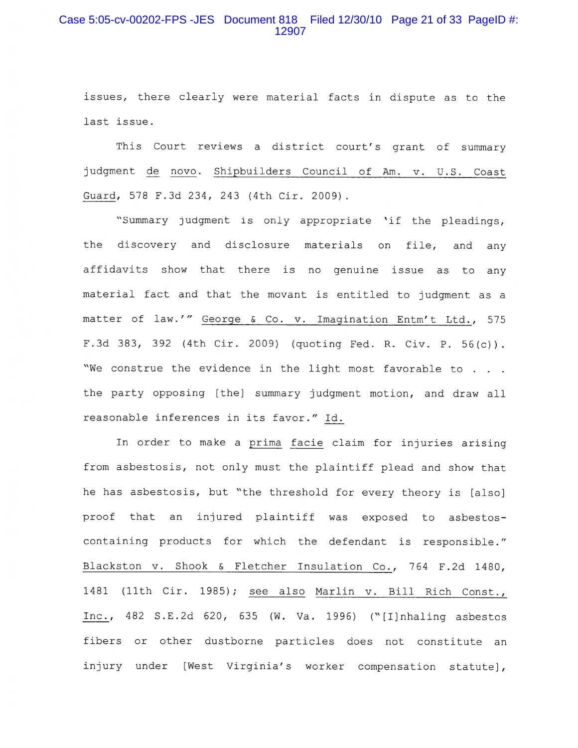# Case 5:05-cv-00202-FPS -JES Document 818 Filed 12/30/10 Page 21 of 33 PageID #: 12907

issues, there clearly were material facts in dispute as to the last issue.

This Court reviews a district court's grant of summary judgment de novo. Shipbuilders Council of Am. v. U.S. Coast Guard, 578 F.3d 234, 243 (4th Cir. 2009).

"Summary judgment is only appropriate 'if the pleadings, the discovery and disclosure materials on file, and any affidavits show that there is no genuine issue as to any material fact and that the movant is entitled to judgment as a matter of law.'" George & Co. v. Imagination Entm't Ltd., 575 F.3d 383, 392 (4th Cir. 2009) (quoting Fed. R. Civ. P. 56(c)). "We construe the evidence in the light most favorable to . . . the party opposing [the] summary judgment motion, and draw all reasonable inferences in its favor." Id.

In order to make a prima facie claim for injuries arising from asbestosis, not only must the plaintiff plead and show that he has asbestosis, but "the threshold for every theory is [also] proof that an injured plaintiff was exposed to asbestoscontaining products for which the defendant is responsible." Blackston v. Shook & Fletcher Insulation Co., 764 F.2d 1480, 1481 (11th Cir. 1985); see also Marlin v. Bill Rich Const., Inc., 482 S.E.2d 620, 635 (W. Va. 1996) ("[I]nhaling asbestos fibers or other dustborne particles does not constitute an injury under [West Virginia's worker compensation statute],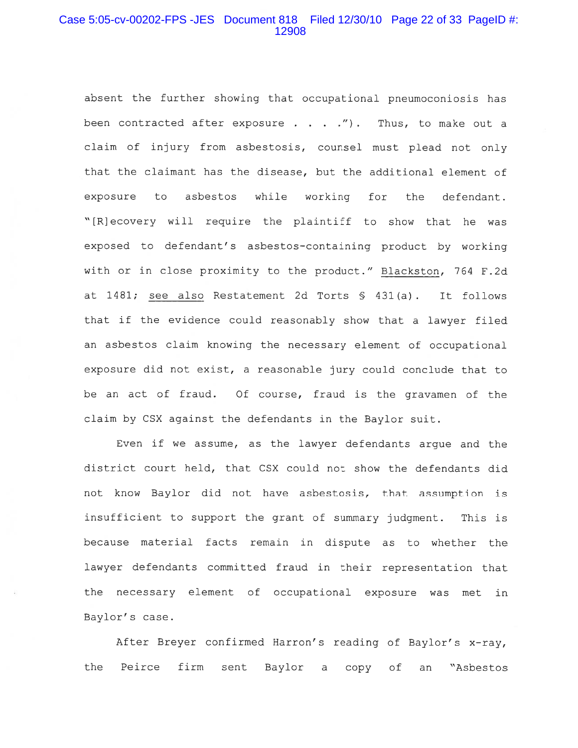## Case 5:05-cv-00202-FPS -JES Document 818 Filed 12/30/10 Page 22 of 33 PageID #: 12908

absent the further showing that occupational pneumoconiosis has been contracted after exposure . . . ."). Thus, to make out a claim of injury from asbestosis, counsel must plead not only that the claimant has the disease, but the additional element of exposure to asbestos while working for the defendant. "[R]ecovery will require the plaintiff to show that he was exposed to defendant's asbestos-containing product by working with or in close proximity to the product." Blackston, 764 F.2d at 1481; see also Restatement 2d Torts § 431(a). It follows that if the evidence could reasonably show that a lawyer filed an asbestos claim knowing the necessary element of occupational exposure did not exist, a reasonable jury could conclude that to be an act of fraud. Of course, fraud is the gravamen of the claim by CSX against the defendants in the Baylor suit.

Even if we assume, as the lawyer defendants arque and the district court held, that CSX could not show the defendants did not know Baylor did not have asbestosis, that assumption is insufficient to support the grant of summary judgment. This is because material facts remain in dispute as to whether the lawyer defendants committed fraud in their representation that the necessary element of occupational exposure was met in Baylor's case.

After Breyer confirmed Harron's reading of Baylor's x-ray, Peirce firm the sent Baylor a copy of an "Asbestos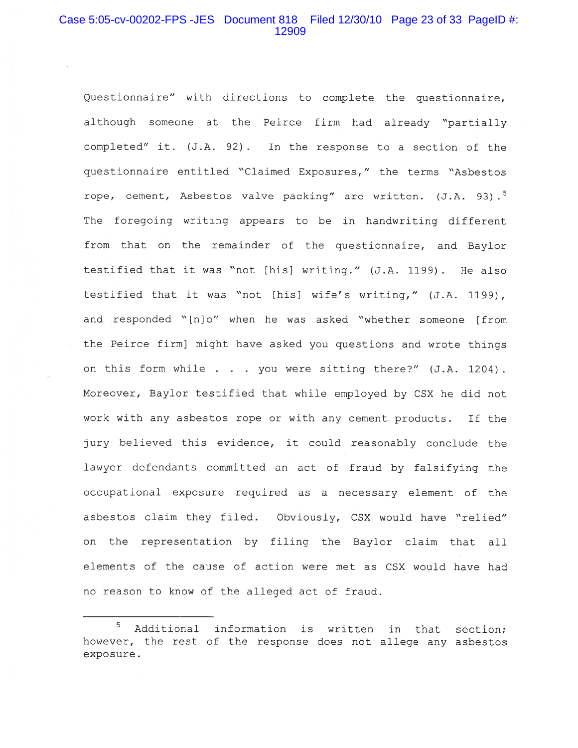# Case 5:05-cv-00202-FPS -JES Document 818 Filed 12/30/10 Page 23 of 33 PageID #: 12909

Questionnaire" with directions to complete the questionnaire, although someone at the Peirce firm had already "partially completed" it. (J.A. 92). In the response to a section of the questionnaire entitled "Claimed Exposures," the terms "Asbestos rope, cement, Asbestos valve packing" are written. (J.A. 93).<sup>5</sup> The foregoing writing appears to be in handwriting different from that on the remainder of the questionnaire, and Baylor testified that it was "not [his] writing." (J.A. 1199). He also testified that it was "not [his] wife's writing," (J.A. 1199), and responded "[n]o" when he was asked "whether someone [from the Peirce firm] might have asked you questions and wrote things on this form while . . . you were sitting there?" (J.A. 1204). Moreover, Baylor testified that while employed by CSX he did not work with any asbestos rope or with any cement products. If the jury believed this evidence, it could reasonably conclude the lawyer defendants committed an act of fraud by falsifying the occupational exposure required as a necessary element of the asbestos claim they filed. Obviously, CSX would have "relied" on the representation by filing the Baylor claim that all elements of the cause of action were met as CSX would have had no reason to know of the alleged act of fraud.

<sup>5</sup> Additional information is written in that section; however, the rest of the response does not allege any asbestos exposure.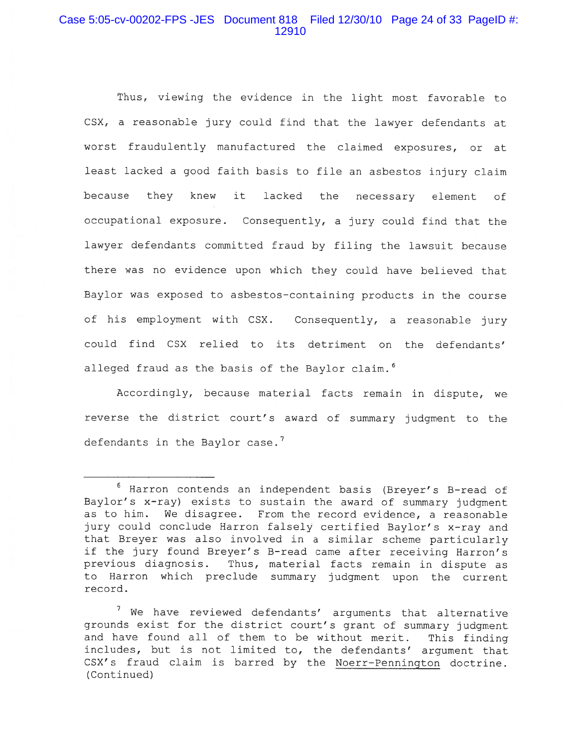# Case 5:05-cv-00202-FPS -JES Document 818 Filed 12/30/10 Page 24 of 33 PageID #: 12910

Thus, viewing the evidence in the light most favorable to CSX, a reasonable jury could find that the lawyer defendants at worst fraudulently manufactured the claimed exposures, or at least lacked a good faith basis to file an asbestos injury claim lacked the necessary because they knew it element of. occupational exposure. Consequently, a jury could find that the lawyer defendants committed fraud by filing the lawsuit because there was no evidence upon which they could have believed that Baylor was exposed to asbestos-containing products in the course of his employment with CSX. Consequently, a reasonable jury could find CSX relied to its detriment on the defendants' alleged fraud as the basis of the Baylor claim.<sup>6</sup>

Accordingly, because material facts remain in dispute, we reverse the district court's award of summary judgment to the defendants in the Baylor case.<sup>7</sup>

<sup>&</sup>lt;sup>6</sup> Harron contends an independent basis (Breyer's B-read of Baylor's x-ray) exists to sustain the award of summary judgment as to him. We disagree. From the record evidence, a reasonable jury could conclude Harron falsely certified Baylor's x-ray and that Breyer was also involved in a similar scheme particularly if the jury found Breyer's B-read came after receiving Harron's previous diagnosis. Thus, material facts remain in dispute as to Harron which preclude summary judgment upon the current record.

<sup>&</sup>lt;sup>7</sup> We have reviewed defendants' arguments that alternative grounds exist for the district court's grant of summary judgment and have found all of them to be without merit. This finding includes, but is not limited to, the defendants' argument that CSX's fraud claim is barred by the Noerr-Pennington doctrine. (Continued)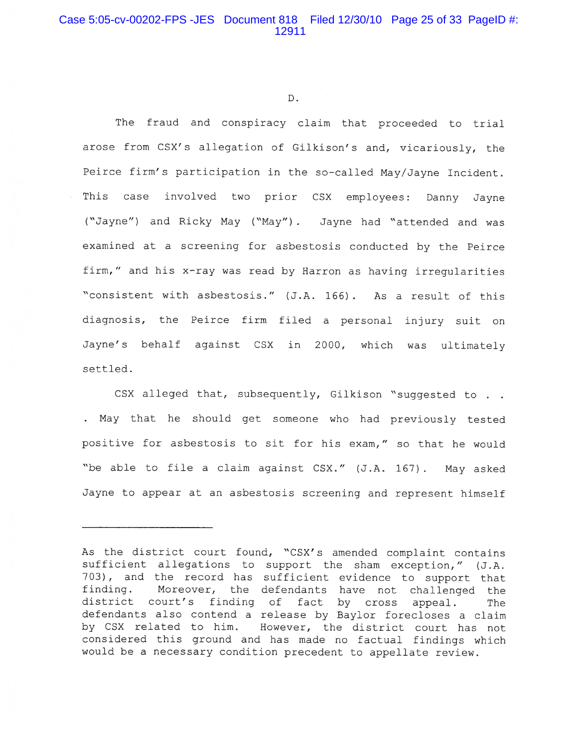$D$ .

The fraud and conspiracy claim that proceeded to trial arose from CSX's allegation of Gilkison's and, vicariously, the Peirce firm's participation in the so-called May/Jayne Incident. This case involved two prior CSX employees: Danny Jayne ("Jayne") and Ricky May ("May"). Jayne had "attended and was examined at a screening for asbestosis conducted by the Peirce firm," and his x-ray was read by Harron as having irregularities "consistent with asbestosis." (J.A. 166). As a result of this diagnosis, the Peirce firm filed a personal injury suit on Jayne's behalf against CSX in 2000, which was ultimately settled.

CSX alleged that, subsequently, Gilkison "suggested to . . . May that he should get someone who had previously tested positive for asbestosis to sit for his exam," so that he would "be able to file a claim against CSX." (J.A. 167). May asked Jayne to appear at an asbestosis screening and represent himself

As the district court found, "CSX's amended complaint contains sufficient allegations to support the sham exception," (J.A. 703), and the record has sufficient evidence to support that Moreover, the defendants have not challenged the finding. district court's finding of fact by cross appeal. The defendants also contend a release by Baylor forecloses a claim by CSX related to him. However, the district court has not considered this ground and has made no factual findings which would be a necessary condition precedent to appellate review.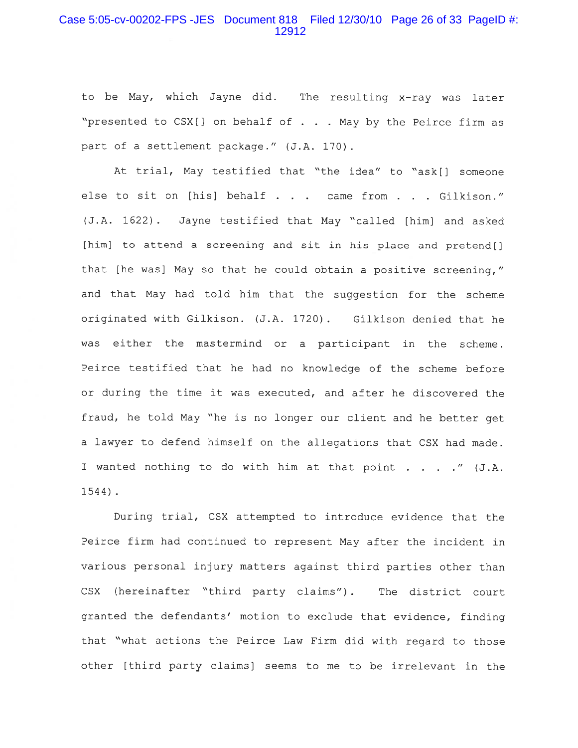#### Case 5:05-cv-00202-FPS -JES Document 818 Filed 12/30/10 Page 26 of 33 PageID #: 12912

to be May, which Jayne did. The resulting x-ray was later "presented to CSX[] on behalf of . . . May by the Peirce firm as part of a settlement package." (J.A. 170).

At trial, May testified that "the idea" to "ask[] someone else to sit on [his] behalf . . . came from . . . Gilkison." (J.A. 1622). Jayne testified that May "called [him] and asked [him] to attend a screening and sit in his place and pretend[] that [he was] May so that he could obtain a positive screening," and that May had told him that the suggestion for the scheme originated with Gilkison. (J.A. 1720). Gilkison denied that he was either the mastermind or a participant in the scheme. Peirce testified that he had no knowledge of the scheme before or during the time it was executed, and after he discovered the fraud, he told May "he is no longer our client and he better get a lawyer to defend himself on the allegations that CSX had made. I wanted nothing to do with him at that point . . . . " (J.A.  $1544$ ).

During trial, CSX attempted to introduce evidence that the Peirce firm had continued to represent May after the incident in various personal injury matters against third parties other than (hereinafter "third party claims"). The district court CSX granted the defendants' motion to exclude that evidence, finding that "what actions the Peirce Law Firm did with regard to those other [third party claims] seems to me to be irrelevant in the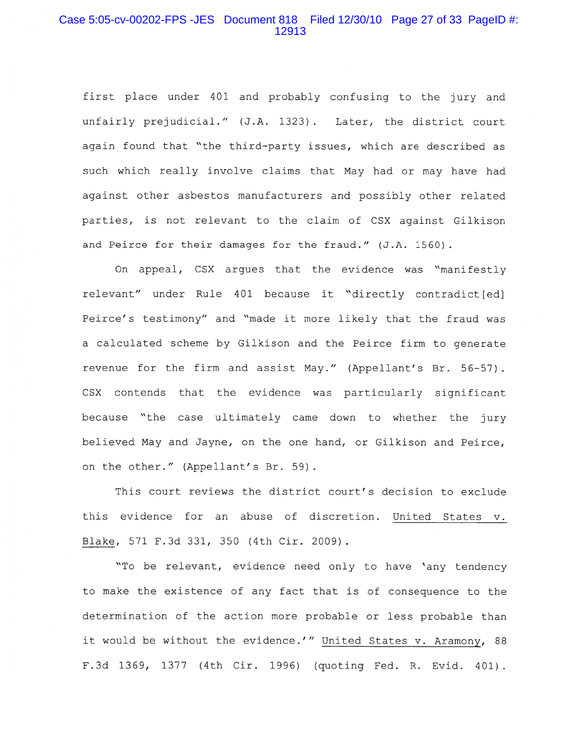## Case 5:05-cv-00202-FPS -JES Document 818 Filed 12/30/10 Page 27 of 33 PageID #: 12913

first place under 401 and probably confusing to the jury and unfairly prejudicial." (J.A. 1323). Later, the district court again found that "the third-party issues, which are described as such which really involve claims that May had or may have had against other asbestos manufacturers and possibly other related parties, is not relevant to the claim of CSX against Gilkison and Peirce for their damages for the fraud." (J.A. 1560).

On appeal, CSX argues that the evidence was "manifestly relevant" under Rule 401 because it "directly contradict[ed] Peirce's testimony" and "made it more likely that the fraud was a calculated scheme by Gilkison and the Peirce firm to generate revenue for the firm and assist May." (Appellant's Br. 56-57). CSX contends that the evidence was particularly significant because "the case ultimately came down to whether the jury believed May and Jayne, on the one hand, or Gilkison and Peirce, on the other." (Appellant's Br. 59).

This court reviews the district court's decision to exclude this evidence for an abuse of discretion. United States v. Blake, 571 F.3d 331, 350 (4th Cir. 2009).

"To be relevant, evidence need only to have 'any tendency to make the existence of any fact that is of consequence to the determination of the action more probable or less probable than it would be without the evidence.'" United States v. Aramony, 88 F.3d 1369, 1377 (4th Cir. 1996) (quoting Fed. R. Evid. 401).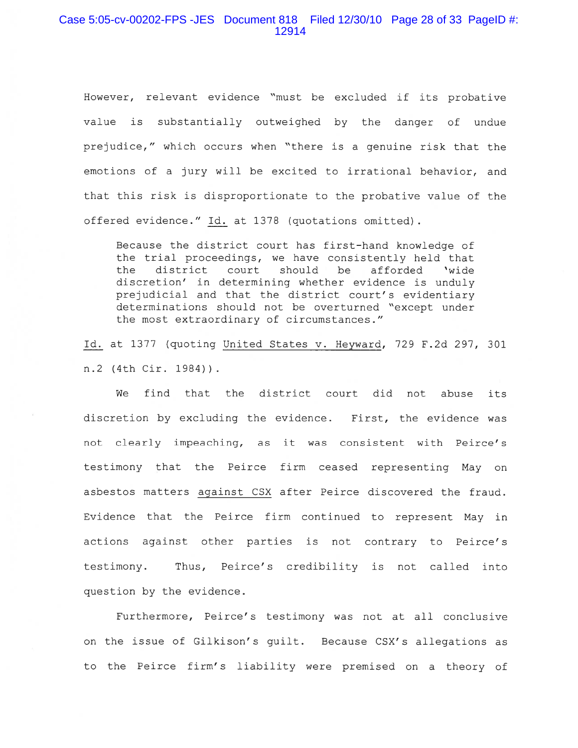#### Case 5:05-cv-00202-FPS -JES Document 818 Filed 12/30/10 Page 28 of 33 PageID #: 12914

However, relevant evidence "must be excluded if its probative is substantially outweighed by the danger of undue value prejudice," which occurs when "there is a genuine risk that the emotions of a jury will be excited to irrational behavior, and that this risk is disproportionate to the probative value of the offered evidence." Id. at 1378 (quotations omitted).

Because the district court has first-hand knowledge of the trial proceedings, we have consistently held that district court should be afforded the 'wide discretion' in determining whether evidence is unduly prejudicial and that the district court's evidentiary determinations should not be overturned "except under the most extraordinary of circumstances."

Id. at 1377 (quoting United States v. Heyward, 729 F.2d 297, 301 n.2 (4th Cir. 1984)).

find that the district court did not abuse its ฬ≏ discretion by excluding the evidence. First, the evidence was not clearly impeaching, as it was consistent with Peirce's testimony that the Peirce firm ceased representing May on asbestos matters against CSX after Peirce discovered the fraud. Evidence that the Peirce firm continued to represent May in actions against other parties is not contrary to Peirce's testimony. Thus, Peirce's credibility is not called into question by the evidence.

Furthermore, Peirce's testimony was not at all conclusive on the issue of Gilkison's guilt. Because CSX's allegations as to the Peirce firm's liability were premised on a theory of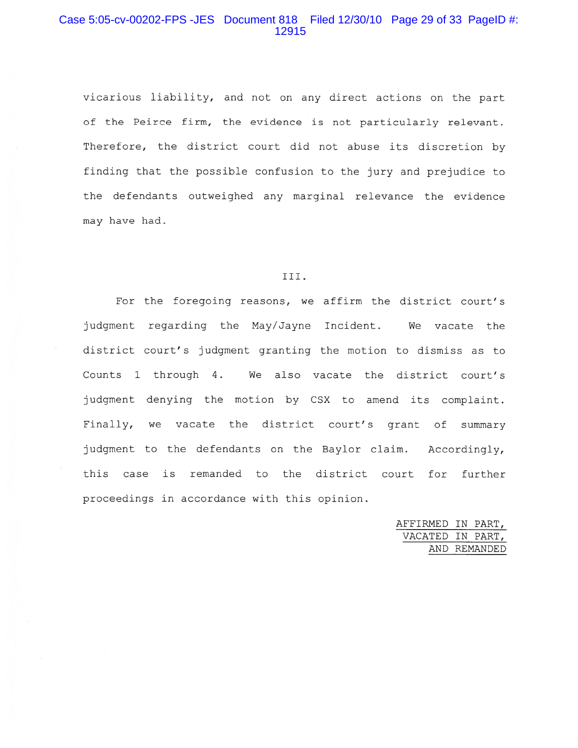# Case 5:05-cv-00202-FPS -JES Document 818 Filed 12/30/10 Page 29 of 33 PageID #: 12915

vicarious liability, and not on any direct actions on the part of the Peirce firm, the evidence is not particularly relevant. Therefore, the district court did not abuse its discretion by finding that the possible confusion to the jury and prejudice to the defendants outweighed any marginal relevance the evidence may have had.

#### III.

For the foregoing reasons, we affirm the district court's judgment regarding the May/Jayne Incident. We vacate the district court's judgment granting the motion to dismiss as to Counts 1 through 4. We also vacate the district court's judgment denying the motion by CSX to amend its complaint. Finally, we vacate the district court's grant of summary judgment to the defendants on the Baylor claim. Accordingly, this case is remanded to the district court for further proceedings in accordance with this opinion.

> AFFIRMED IN PART, VACATED IN PART, AND REMANDED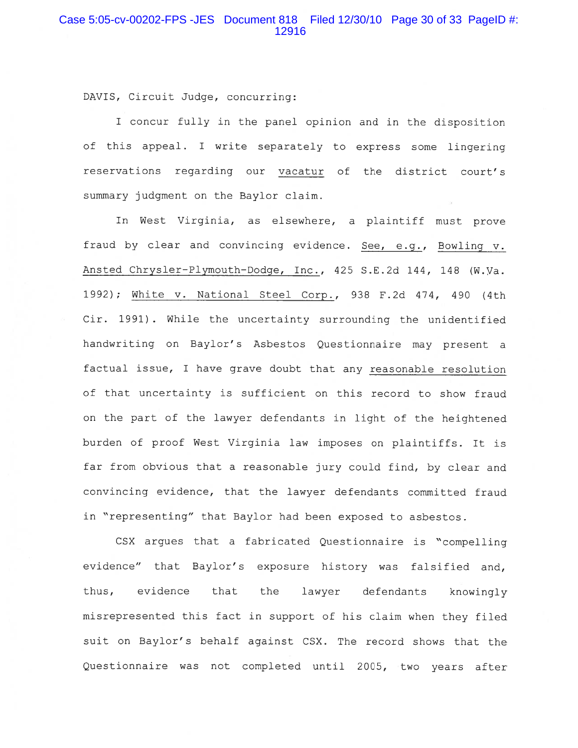DAVIS, Circuit Judge, concurring:

I concur fully in the panel opinion and in the disposition of this appeal. I write separately to express some lingering reservations regarding our vacatur of the district court's summary judgment on the Baylor claim.

In West Virginia, as elsewhere, a plaintiff must prove fraud by clear and convincing evidence. See, e.g., Bowling v. Ansted Chrysler-Plymouth-Dodge, Inc., 425 S.E.2d 144, 148 (W.Va. 1992); White v. National Steel Corp., 938 F.2d 474, 490 (4th Cir. 1991). While the uncertainty surrounding the unidentified handwriting on Baylor's Asbestos Questionnaire may present a factual issue, I have grave doubt that any reasonable resolution of that uncertainty is sufficient on this record to show fraud on the part of the lawyer defendants in light of the heightened burden of proof West Virginia law imposes on plaintiffs. It is far from obvious that a reasonable jury could find, by clear and convincing evidence, that the lawyer defendants committed fraud in "representing" that Baylor had been exposed to asbestos.

CSX argues that a fabricated Questionnaire is "compelling evidence" that Baylor's exposure history was falsified and, thus, evidence that the lawyer defendants knowingly misrepresented this fact in support of his claim when they filed suit on Baylor's behalf against CSX. The record shows that the Questionnaire was not completed until 2005, two years after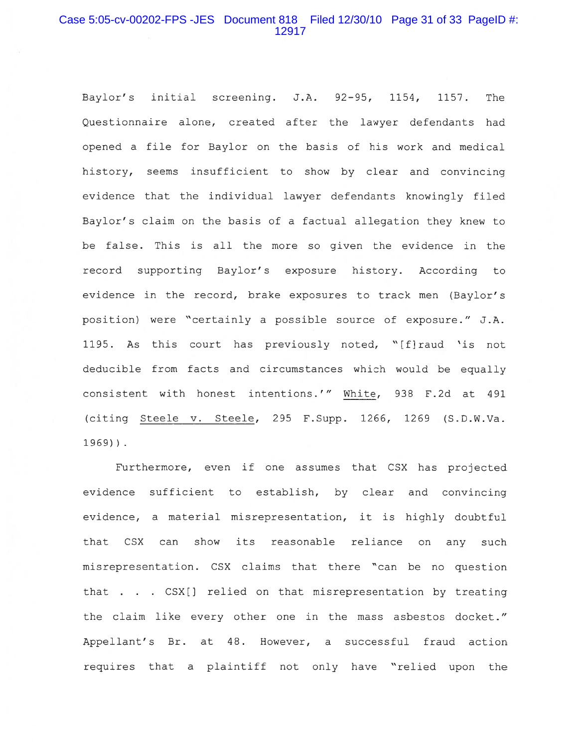# Case 5:05-cv-00202-FPS -JES Document 818 Filed 12/30/10 Page 31 of 33 PageID #: 12917

Baylor's initial screening. J.A. 92-95, 1154, 1157. The Questionnaire alone, created after the lawyer defendants had opened a file for Baylor on the basis of his work and medical history, seems insufficient to show by clear and convincing evidence that the individual lawyer defendants knowingly filed Baylor's claim on the basis of a factual allegation they knew to be false. This is all the more so given the evidence in the record supporting Baylor's exposure history. According to evidence in the record, brake exposures to track men (Baylor's position) were "certainly a possible source of exposure." J.A. 1195. As this court has previously noted, "[f]raud 'is not deducible from facts and circumstances which would be equally consistent with honest intentions.'" White, 938 F.2d at 491 (citing Steele v. Steele, 295 F.Supp. 1266, 1269 (S.D.W.Va.  $1969$ )).

Furthermore, even if one assumes that CSX has projected evidence sufficient to establish, by clear and convincing evidence, a material misrepresentation, it is highly doubtful that CSX can show its reasonable reliance on any such misrepresentation. CSX claims that there "can be no question that . . . CSX[] relied on that misrepresentation by treating the claim like every other one in the mass asbestos docket." Appellant's Br. at 48. However, a successful fraud action requires that a plaintiff not only have "relied upon the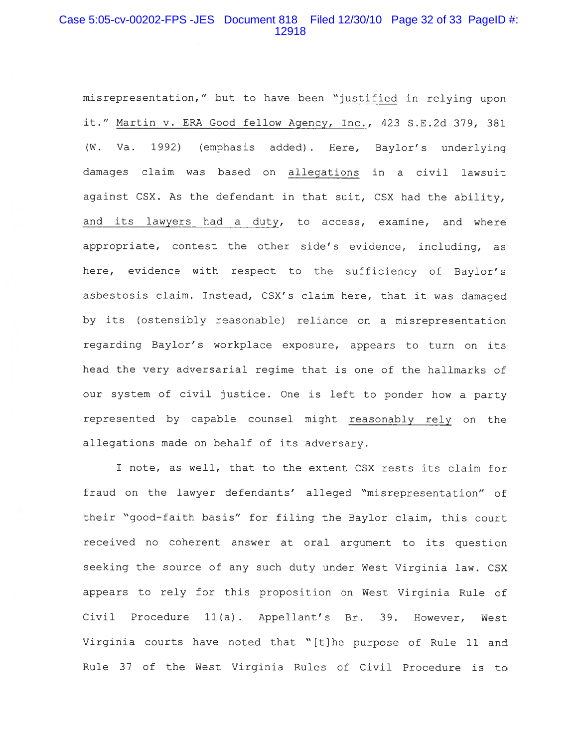# Case 5:05-cv-00202-FPS -JES Document 818 Filed 12/30/10 Page 32 of 33 PageID #: 12918

misrepresentation," but to have been "justified in relying upon it." Martin v. ERA Good fellow Agency, Inc., 423 S.E.2d 379, 381 Va. 1992) (emphasis added). Here, Baylor's underlying  $(W.$ damages claim was based on allegations in a civil lawsuit against CSX. As the defendant in that suit, CSX had the ability, and its lawyers had a duty, to access, examine, and where appropriate, contest the other side's evidence, including, as here, evidence with respect to the sufficiency of Baylor's asbestosis claim. Instead, CSX's claim here, that it was damaged by its (ostensibly reasonable) reliance on a misrepresentation regarding Baylor's workplace exposure, appears to turn on its head the very adversarial regime that is one of the hallmarks of our system of civil justice. One is left to ponder how a party represented by capable counsel might reasonably rely on the allegations made on behalf of its adversary.

I note, as well, that to the extent CSX rests its claim for fraud on the lawyer defendants' alleged "misrepresentation" of their "good-faith basis" for filing the Baylor claim, this court received no coherent answer at oral argument to its question seeking the source of any such duty under West Virginia law. CSX appears to rely for this proposition on West Virginia Rule of Civil Procedure 11(a). Appellant's Br. 39. However, West Virginia courts have noted that "[t]he purpose of Rule 11 and Rule 37 of the West Virginia Rules of Civil Procedure is to